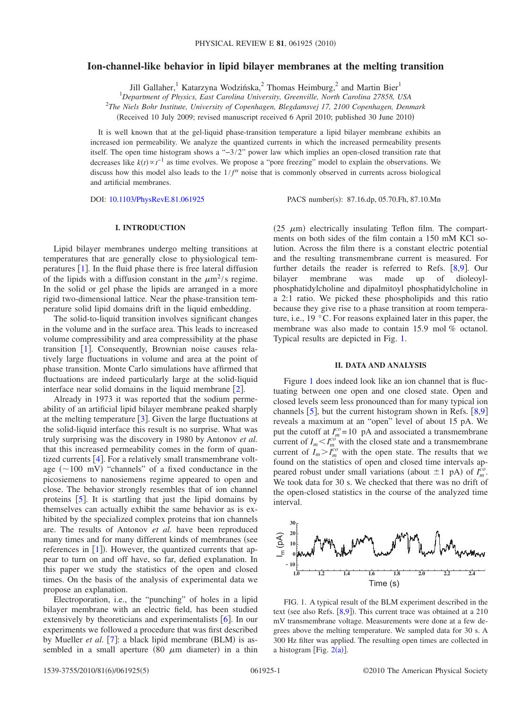## **Ion-channel-like behavior in lipid bilayer membranes at the melting transition**

Jill Gallaher,<sup>1</sup> Katarzyna Wodzińska,<sup>2</sup> Thomas Heimburg,<sup>2</sup> and Martin Bier<sup>1</sup>

1 *Department of Physics, East Carolina University, Greenville, North Carolina 27858, USA*

2 *The Niels Bohr Institute, University of Copenhagen, Blegdamsvej 17, 2100 Copenhagen, Denmark*

Received 10 July 2009; revised manuscript received 6 April 2010; published 30 June 2010-

It is well known that at the gel-liquid phase-transition temperature a lipid bilayer membrane exhibits an increased ion permeability. We analyze the quantized currents in which the increased permeability presents itself. The open time histogram shows a "−3/2" power law which implies an open-closed transition rate that decreases like  $k(t) \propto t^{-1}$  as time evolves. We propose a "pore freezing" model to explain the observations. We discuss how this model also leads to the  $1/f^{\alpha}$  noise that is commonly observed in currents across biological and artificial membranes.

DOI: [10.1103/PhysRevE.81.061925](http://dx.doi.org/10.1103/PhysRevE.81.061925)

PACS number(s): 87.16.dp, 05.70.Fh, 87.10.Mn

## **I. INTRODUCTION**

Lipid bilayer membranes undergo melting transitions at temperatures that are generally close to physiological temperatures  $[1]$  $[1]$  $[1]$ . In the fluid phase there is free lateral diffusion of the lipids with a diffusion constant in the  $\mu$ m<sup>2</sup>/s regime. In the solid or gel phase the lipids are arranged in a more rigid two-dimensional lattice. Near the phase-transition temperature solid lipid domains drift in the liquid embedding.

The solid-to-liquid transition involves significant changes in the volume and in the surface area. This leads to increased volume compressibility and area compressibility at the phase transition  $\lceil 1 \rceil$  $\lceil 1 \rceil$  $\lceil 1 \rceil$ . Consequently, Brownian noise causes relatively large fluctuations in volume and area at the point of phase transition. Monte Carlo simulations have affirmed that fluctuations are indeed particularly large at the solid-liquid interface near solid domains in the liquid membrane  $[2]$  $[2]$  $[2]$ .

Already in 1973 it was reported that the sodium permeability of an artificial lipid bilayer membrane peaked sharply at the melting temperature  $\lceil 3 \rceil$  $\lceil 3 \rceil$  $\lceil 3 \rceil$ . Given the large fluctuations at the solid-liquid interface this result is no surprise. What was truly surprising was the discovery in 1980 by Antonov *et al.* that this increased permeability comes in the form of quantized currents  $[4]$  $[4]$  $[4]$ . For a relatively small transmembrane voltage  $(\sim 100 \text{ mV})$  "channels" of a fixed conductance in the picosiemens to nanosiemens regime appeared to open and close. The behavior strongly resembles that of ion channel proteins  $\lceil 5 \rceil$  $\lceil 5 \rceil$  $\lceil 5 \rceil$ . It is startling that just the lipid domains by themselves can actually exhibit the same behavior as is exhibited by the specialized complex proteins that ion channels are. The results of Antonov *et al.* have been reproduced many times and for many different kinds of membranes (see references in  $[1]$  $[1]$  $[1]$ ). However, the quantized currents that appear to turn on and off have, so far, defied explanation. In this paper we study the statistics of the open and closed times. On the basis of the analysis of experimental data we propose an explanation.

Electroporation, i.e., the "punching" of holes in a lipid bilayer membrane with an electric field, has been studied extensively by theoreticians and experimentalists  $\lceil 6 \rceil$  $\lceil 6 \rceil$  $\lceil 6 \rceil$ . In our experiments we followed a procedure that was first described by Mueller et al. [[7](#page-4-6)]: a black lipid membrane (BLM) is assembled in a small aperture (80  $\mu$ m diameter) in a thin

(25  $\mu$ m) electrically insulating Teflon film. The compartments on both sides of the film contain a 150 mM KCl solution. Across the film there is a constant electric potential and the resulting transmembrane current is measured. For further details the reader is referred to Refs. [[8](#page-4-7)[,9](#page-4-8)]. Our bilayer membrane was made up of dioleoylwas made up of dioleoylphosphatidylcholine and dipalmitoyl phosphatidylcholine in a 2:1 ratio. We picked these phospholipids and this ratio because they give rise to a phase transition at room temperature, i.e., 19 °C. For reasons explained later in this paper, the membrane was also made to contain 15.9 mol % octanol. Typical results are depicted in Fig. [1.](#page-0-0)

## **II. DATA AND ANALYSIS**

Figure [1](#page-0-0) does indeed look like an ion channel that is fluctuating between one open and one closed state. Open and closed levels seem less pronounced than for many typical ion channels  $\lceil 5 \rceil$  $\lceil 5 \rceil$  $\lceil 5 \rceil$ , but the current histogram shown in Refs.  $\lceil 8, 9 \rceil$  $\lceil 8, 9 \rceil$  $\lceil 8, 9 \rceil$  $\lceil 8, 9 \rceil$  $\lceil 8, 9 \rceil$ reveals a maximum at an "open" level of about 15 pA. We put the cutoff at  $I_m^{co}$  = 10 pA and associated a transmembrane current of  $I_m < I_m^{co}$  with the closed state and a transmembrane current of  $I_m > I_m^{co}$  with the open state. The results that we found on the statistics of open and closed time intervals appeared robust under small variations (about  $\pm 1$  pA) of  $I_m^{co}$ . We took data for 30 s. We checked that there was no drift of the open-closed statistics in the course of the analyzed time interval.

<span id="page-0-0"></span>

FIG. 1. A typical result of the BLM experiment described in the text (see also Refs.  $[8,9]$  $[8,9]$  $[8,9]$  $[8,9]$ ). This current trace was obtained at a 210 mV transmembrane voltage. Measurements were done at a few degrees above the melting temperature. We sampled data for 30 s. A 300 Hz filter was applied. The resulting open times are collected in a histogram [Fig.  $2(a)$  $2(a)$ ].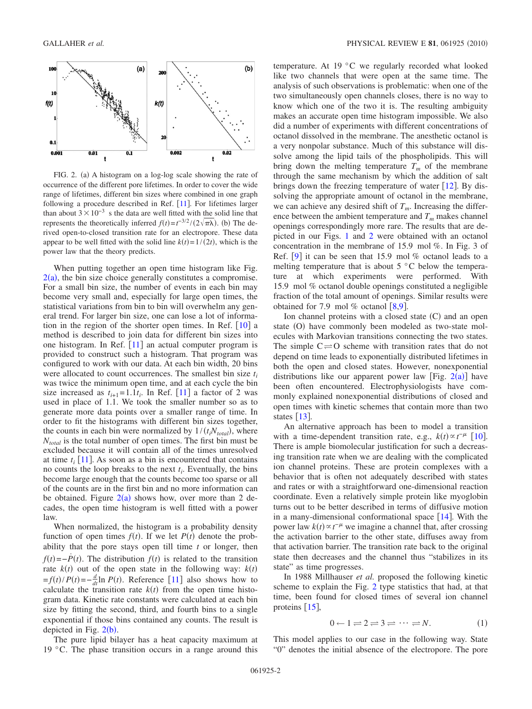<span id="page-1-0"></span>

FIG. 2. (a) A histogram on a log-log scale showing the rate of occurrence of the different pore lifetimes. In order to cover the wide range of lifetimes, different bin sizes where combined in one graph following a procedure described in Ref.  $[11]$  $[11]$  $[11]$ . For lifetimes larger than about  $3 \times 10^{-3}$  s the data are well fitted with the solid line that represents the theoretically inferred  $f(t) = t^{-3/2} / (2\sqrt{\pi\lambda})$ . (b) The derived open-to-closed transition rate for an electropore. These data appear to be well fitted with the solid line  $k(t) = 1/(2t)$ , which is the power law that the theory predicts.

When putting together an open time histogram like Fig.  $2(a)$  $2(a)$ , the bin size choice generally constitutes a compromise. For a small bin size, the number of events in each bin may become very small and, especially for large open times, the statistical variations from bin to bin will overwhelm any general trend. For larger bin size, one can lose a lot of information in the region of the shorter open times. In Ref.  $[10]$  $[10]$  $[10]$  a method is described to join data for different bin sizes into one histogram. In Ref.  $[11]$  $[11]$  $[11]$  an actual computer program is provided to construct such a histogram. That program was configured to work with our data. At each bin width, 20 bins were allocated to count occurrences. The smallest bin size *ti* was twice the minimum open time, and at each cycle the bin size increased as  $t_{i+1} = 1.1t_i$ . In Ref. [[11](#page-4-10)] a factor of 2 was used in place of 1.1. We took the smaller number so as to generate more data points over a smaller range of time. In order to fit the histograms with different bin sizes together, the counts in each bin were normalized by  $1/(t_i N_{total})$ , where *Ntotal* is the total number of open times. The first bin must be excluded because it will contain all of the times unresolved at time  $t_i$  [[11](#page-4-10)]. As soon as a bin is encountered that contains no counts the loop breaks to the next  $t_i$ . Eventually, the bins become large enough that the counts become too sparse or all of the counts are in the first bin and no more information can be obtained. Figure  $2(a)$  $2(a)$  shows how, over more than 2 decades, the open time histogram is well fitted with a power law.

When normalized, the histogram is a probability density function of open times  $f(t)$ . If we let  $P(t)$  denote the probability that the pore stays open till time *t* or longer, then  $f(t) = -\dot{P}(t)$ . The distribution  $f(t)$  is related to the transition rate  $k(t)$  out of the open state in the following way:  $k(t)$  $f(t) = -\frac{d}{dt} \ln P(t)$ . Reference [[11](#page-4-10)] also shows how to calculate the transition rate  $k(t)$  from the open time histogram data. Kinetic rate constants were calculated at each bin size by fitting the second, third, and fourth bins to a single exponential if those bins contained any counts. The result is depicted in Fig.  $2(b)$  $2(b)$ .

The pure lipid bilayer has a heat capacity maximum at 19 °C. The phase transition occurs in a range around this

temperature. At 19 °C we regularly recorded what looked like two channels that were open at the same time. The analysis of such observations is problematic: when one of the two simultaneously open channels closes, there is no way to know which one of the two it is. The resulting ambiguity makes an accurate open time histogram impossible. We also did a number of experiments with different concentrations of octanol dissolved in the membrane. The anesthetic octanol is a very nonpolar substance. Much of this substance will dissolve among the lipid tails of the phospholipids. This will bring down the melting temperature  $T_m$  of the membrane through the same mechanism by which the addition of salt brings down the freezing temperature of water  $\lceil 12 \rceil$  $\lceil 12 \rceil$  $\lceil 12 \rceil$ . By dissolving the appropriate amount of octanol in the membrane, we can achieve any desired shift of  $T_m$ . Increasing the difference between the ambient temperature and  $T<sub>m</sub>$  makes channel openings correspondingly more rare. The results that are depicted in our Figs. [1](#page-0-0) and [2](#page-1-0) were obtained with an octanol concentration in the membrane of 15.9 mol %. In Fig. 3 of Ref.  $[9]$  $[9]$  $[9]$  it can be seen that 15.9 mol % octanol leads to a melting temperature that is about  $5^{\circ}$ C below the temperature at which experiments were performed. With 15.9 mol % octanol double openings constituted a negligible fraction of the total amount of openings. Similar results were obtained for 7.9 mol % octanol  $\lceil 8, 9 \rceil$  $\lceil 8, 9 \rceil$  $\lceil 8, 9 \rceil$ .

Ion channel proteins with a closed state (C) and an open state (O) have commonly been modeled as two-state molecules with Markovian transitions connecting the two states. The simple  $C \rightleftharpoons O$  scheme with transition rates that do not depend on time leads to exponentially distributed lifetimes in both the open and closed states. However, nonexponential distributions like our apparent power law [Fig.  $2(a)$  $2(a)$ ] have been often encountered. Electrophysiologists have commonly explained nonexponential distributions of closed and open times with kinetic schemes that contain more than two states  $\lceil 13 \rceil$  $\lceil 13 \rceil$  $\lceil 13 \rceil$ .

An alternative approach has been to model a transition with a time-dependent transition rate, e.g.,  $k(t) \propto t^{-\mu}$  [[10](#page-4-9)]. There is ample biomolecular justification for such a decreasing transition rate when we are dealing with the complicated ion channel proteins. These are protein complexes with a behavior that is often not adequately described with states and rates or with a straightforward one-dimensional reaction coordinate. Even a relatively simple protein like myoglobin turns out to be better described in terms of diffusive motion in a many-dimensional conformational space  $[14]$  $[14]$  $[14]$ . With the power law  $k(t) \propto t^{-\mu}$  we imagine a channel that, after crossing the activation barrier to the other state, diffuses away from that activation barrier. The transition rate back to the original state then decreases and the channel thus "stabilizes in its state" as time progresses.

In 1988 Millhauser *et al.* proposed the following kinetic scheme to explain the Fig. [2](#page-1-0) type statistics that had, at that time, been found for closed times of several ion channel proteins  $[15]$  $[15]$  $[15]$ ,

$$
0 \leftarrow 1 \rightleftharpoons 2 \rightleftharpoons 3 \rightleftharpoons \cdots \rightleftharpoons N. \tag{1}
$$

<span id="page-1-1"></span>This model applies to our case in the following way. State "0" denotes the initial absence of the electropore. The pore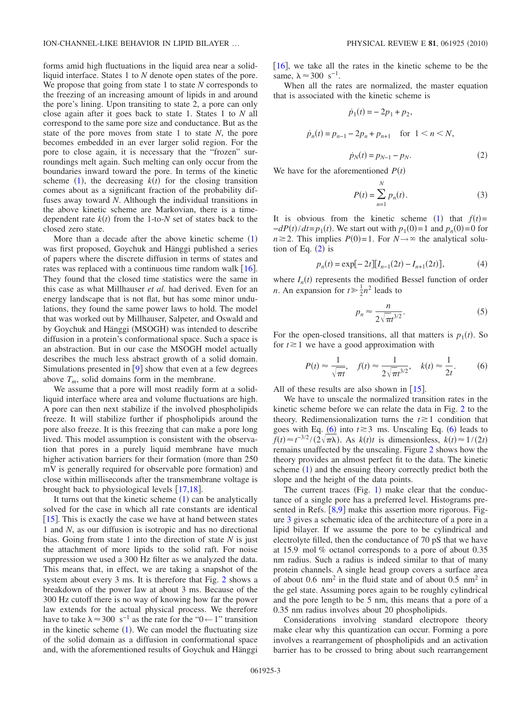forms amid high fluctuations in the liquid area near a solidliquid interface. States 1 to *N* denote open states of the pore. We propose that going from state 1 to state *N* corresponds to the freezing of an increasing amount of lipids in and around the pore's lining. Upon transiting to state 2, a pore can only close again after it goes back to state 1. States 1 to *N* all correspond to the same pore size and conductance. But as the state of the pore moves from state 1 to state *N*, the pore becomes embedded in an ever larger solid region. For the pore to close again, it is necessary that the "frozen" surroundings melt again. Such melting can only occur from the boundaries inward toward the pore. In terms of the kinetic scheme  $(1)$  $(1)$  $(1)$ , the decreasing  $k(t)$  for the closing transition comes about as a significant fraction of the probability diffuses away toward *N*. Although the individual transitions in the above kinetic scheme are Markovian, there is a timedependent rate  $k(t)$  from the 1-to-*N* set of states back to the closed zero state.

More than a decade after the above kinetic scheme  $(1)$  $(1)$  $(1)$ was first proposed, Goychuk and Hänggi published a series of papers where the discrete diffusion in terms of states and rates was replaced with a continuous time random walk  $[16]$  $[16]$  $[16]$ . They found that the closed time statistics were the same in this case as what Millhauser *et al.* had derived. Even for an energy landscape that is not flat, but has some minor undulations, they found the same power laws to hold. The model that was worked out by Millhauser, Salpeter, and Oswald and by Goychuk and Hänggi (MSOGH) was intended to describe diffusion in a protein's conformational space. Such a space is an abstraction. But in our case the MSOGH model actually describes the much less abstract growth of a solid domain. Simulations presented in  $[9]$  $[9]$  $[9]$  show that even at a few degrees above  $T_m$ , solid domains form in the membrane.

We assume that a pore will most readily form at a solidliquid interface where area and volume fluctuations are high. A pore can then next stabilize if the involved phospholipids freeze. It will stabilize further if phospholipids around the pore also freeze. It is this freezing that can make a pore long lived. This model assumption is consistent with the observation that pores in a purely liquid membrane have much higher activation barriers for their formation (more than 250) mV is generally required for observable pore formation) and close within milliseconds after the transmembrane voltage is brought back to physiological levels  $[17,18]$  $[17,18]$  $[17,18]$  $[17,18]$ .

It turns out that the kinetic scheme  $(1)$  $(1)$  $(1)$  can be analytically solved for the case in which all rate constants are identical [ $15$ ]. This is exactly the case we have at hand between states 1 and *N*, as our diffusion is isotropic and has no directional bias. Going from state 1 into the direction of state *N* is just the attachment of more lipids to the solid raft. For noise suppression we used a 300 Hz filter as we analyzed the data. This means that, in effect, we are taking a snapshot of the system about every 3 ms. It is therefore that Fig. [2](#page-1-0) shows a breakdown of the power law at about 3 ms. Because of the 300 Hz cutoff there is no way of knowing how far the power law extends for the actual physical process. We therefore have to take  $\lambda \approx 300 \text{ s}^{-1}$  as the rate for the "0 ← 1" transition in the kinetic scheme  $(1)$  $(1)$  $(1)$ . We can model the fluctuating size of the solid domain as a diffusion in conformational space and, with the aforementioned results of Goychuk and Hänggi  $[16]$  $[16]$  $[16]$ , we take all the rates in the kinetic scheme to be the same,  $\lambda \approx 300 \text{ s}^{-1}$ .

<span id="page-2-0"></span>When all the rates are normalized, the master equation that is associated with the kinetic scheme is

$$
\dot{p}_1(t) = -2p_1 + p_2,
$$
\n
$$
\dot{p}_n(t) = p_{n-1} - 2p_n + p_{n+1} \quad \text{for } 1 < n < N,
$$
\n
$$
\dot{p}_N(t) = p_{N-1} - p_N.
$$
\n(2)

We have for the aforementioned  $P(t)$ 

$$
P(t) = \sum_{n=1}^{N} p_n(t).
$$
 (3)

It is obvious from the kinetic scheme ([1](#page-1-1)) that  $f(t) =$  $-dP(t)/dt = p_1(t)$ . We start out with  $p_1(0) = 1$  and  $p_n(0) = 0$  for  $n \ge 2$ . This implies  $P(0) = 1$ . For  $N \to \infty$  the analytical solution of Eq.  $(2)$  $(2)$  $(2)$  is

$$
p_n(t) = \exp[-2t][I_{n-1}(2t) - I_{n+1}(2t)],\tag{4}
$$

where  $I_n(t)$  represents the modified Bessel function of order *n*. An expansion for  $t \ge \frac{1}{2}n^2$  leads to

$$
p_n \approx \frac{n}{2\sqrt{\pi t^{3/2}}}.\tag{5}
$$

<span id="page-2-1"></span>For the open-closed transitions, all that matters is  $p_1(t)$ . So for  $t \geq 1$  we have a good approximation with

$$
P(t) \approx \frac{1}{\sqrt{\pi t}}, \quad f(t) \approx \frac{1}{2\sqrt{\pi t^{3/2}}}, \quad k(t) \approx \frac{1}{2t}.
$$
 (6)

All of these results are also shown in  $[15]$  $[15]$  $[15]$ .

We have to unscale the normalized transition rates in the kinetic scheme before we can relate the data in Fig. [2](#page-1-0) to the theory. Redimensionalization turns the  $t \geq 1$  condition that goes with Eq.  $\left(6\right)$  $\left(6\right)$  $\left(6\right)$  into  $t \ge 3$  ms. Unscaling Eq.  $\left(6\right)$  leads to  $f(t) \approx t^{-3/2}/(2\sqrt{\pi\lambda})$ . As *k*(*t*)*t* is dimensionless, *k*(*t*)  $\approx 1/(2t)$ remains unaffected by the unscaling. Figure [2](#page-1-0) shows how the theory provides an almost perfect fit to the data. The kinetic scheme ([1](#page-1-1)) and the ensuing theory correctly predict both the slope and the height of the data points.

The current traces (Fig. [1](#page-0-0)) make clear that the conductance of a single pore has a preferred level. Histograms presented in Refs.  $[8,9]$  $[8,9]$  $[8,9]$  $[8,9]$  make this assertion more rigorous. Figure [3](#page-3-0) gives a schematic idea of the architecture of a pore in a lipid bilayer. If we assume the pore to be cylindrical and electrolyte filled, then the conductance of 70 pS that we have at 15.9 mol % octanol corresponds to a pore of about 0.35 nm radius. Such a radius is indeed similar to that of many protein channels. A single head group covers a surface area of about 0.6  $\text{nm}^2$  in the fluid state and of about 0.5  $\text{nm}^2$  in the gel state. Assuming pores again to be roughly cylindrical and the pore length to be 5 nm, this means that a pore of a 0.35 nm radius involves about 20 phospholipids.

Considerations involving standard electropore theory make clear why this quantization can occur. Forming a pore involves a rearrangement of phospholipids and an activation barrier has to be crossed to bring about such rearrangement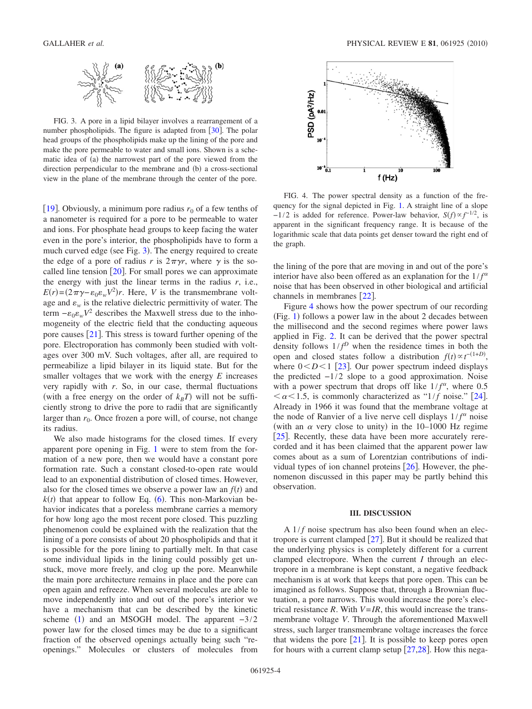<span id="page-3-0"></span>

FIG. 3. A pore in a lipid bilayer involves a rearrangement of a number phospholipids. The figure is adapted from  $\lceil 30 \rceil$  $\lceil 30 \rceil$  $\lceil 30 \rceil$ . The polar head groups of the phospholipids make up the lining of the pore and make the pore permeable to water and small ions. Shown is a schematic idea of (a) the narrowest part of the pore viewed from the direction perpendicular to the membrane and (b) a cross-sectional view in the plane of the membrane through the center of the pore.

[[19](#page-4-18)]. Obviously, a minimum pore radius  $r_0$  of a few tenths of a nanometer is required for a pore to be permeable to water and ions. For phosphate head groups to keep facing the water even in the pore's interior, the phospholipids have to form a much curved edge (see Fig. [3](#page-3-0)). The energy required to create the edge of a pore of radius *r* is  $2\pi\gamma r$ , where  $\gamma$  is the socalled line tension  $[20]$  $[20]$  $[20]$ . For small pores we can approximate the energy with just the linear terms in the radius *r*, i.e.,  $E(r) = (2\pi\gamma - \varepsilon_0 \varepsilon_w V^2)r$ . Here, *V* is the transmembrane voltage and  $\varepsilon_w$  is the relative dielectric permittivity of water. The term  $-\varepsilon_0 \varepsilon_w V^2$  describes the Maxwell stress due to the inhomogeneity of the electric field that the conducting aqueous pore causes  $[21]$  $[21]$  $[21]$ . This stress is toward further opening of the pore. Electroporation has commonly been studied with voltages over 300 mV. Such voltages, after all, are required to permeabilize a lipid bilayer in its liquid state. But for the smaller voltages that we work with the energy *E* increases very rapidly with *r*. So, in our case, thermal fluctuations (with a free energy on the order of  $k_B T$ ) will not be sufficiently strong to drive the pore to radii that are significantly larger than  $r_0$ . Once frozen a pore will, of course, not change its radius.

We also made histograms for the closed times. If every apparent pore opening in Fig. [1](#page-0-0) were to stem from the formation of a new pore, then we would have a constant pore formation rate. Such a constant closed-to-open rate would lead to an exponential distribution of closed times. However, also for the closed times we observe a power law an  $f(t)$  and  $k(t)$  that appear to follow Eq. ([6](#page-2-1)). This non-Markovian behavior indicates that a poreless membrane carries a memory for how long ago the most recent pore closed. This puzzling phenomenon could be explained with the realization that the lining of a pore consists of about 20 phospholipids and that it is possible for the pore lining to partially melt. In that case some individual lipids in the lining could possibly get unstuck, move more freely, and clog up the pore. Meanwhile the main pore architecture remains in place and the pore can open again and refreeze. When several molecules are able to move independently into and out of the pore's interior we have a mechanism that can be described by the kinetic scheme ([1](#page-1-1)) and an MSOGH model. The apparent  $-3/2$ power law for the closed times may be due to a significant fraction of the observed openings actually being such "reopenings." Molecules or clusters of molecules from

<span id="page-3-1"></span>

FIG. 4. The power spectral density as a function of the frequency for the signal depicted in Fig. [1.](#page-0-0) A straight line of a slope  $-1/2$  is added for reference. Power-law behavior,  $S(f) \propto f^{-1/2}$ , is apparent in the significant frequency range. It is because of the logarithmic scale that data points get denser toward the right end of the graph.

the lining of the pore that are moving in and out of the pore's interior have also been offered as an explanation for the  $1/f^{\alpha}$ noise that has been observed in other biological and artificial channels in membranes  $\lceil 22 \rceil$  $\lceil 22 \rceil$  $\lceil 22 \rceil$ .

Figure [4](#page-3-1) shows how the power spectrum of our recording (Fig. [1](#page-0-0)) follows a power law in the about 2 decades between the millisecond and the second regimes where power laws applied in Fig. [2.](#page-1-0) It can be derived that the power spectral density follows  $1/f^D$  when the residence times in both the open and closed states follow a distribution  $f(t) \propto t^{-(1+D)}$ , where  $0 < D < 1$  [[23](#page-4-22)]. Our power spectrum indeed displays the predicted  $-1/2$  slope to a good approximation. Noise with a power spectrum that drops off like  $1/f^{\alpha}$ , where 0.5  $\alpha$ <1.5, is commonly characterized as "1/*f* noise." [[24](#page-4-23)]. Already in 1966 it was found that the membrane voltage at the node of Ranvier of a live nerve cell displays  $1/f^{\alpha}$  noise (with an  $\alpha$  very close to unity) in the 10–1000 Hz regime [[25](#page-4-24)]. Recently, these data have been more accurately rerecorded and it has been claimed that the apparent power law comes about as a sum of Lorentzian contributions of individual types of ion channel proteins  $[26]$  $[26]$  $[26]$ . However, the phenomenon discussed in this paper may be partly behind this observation.

## **III. DISCUSSION**

A  $1/f$  noise spectrum has also been found when an electropore is current clamped  $\lceil 27 \rceil$  $\lceil 27 \rceil$  $\lceil 27 \rceil$ . But it should be realized that the underlying physics is completely different for a current clamped electropore. When the current *I* through an electropore in a membrane is kept constant, a negative feedback mechanism is at work that keeps that pore open. This can be imagined as follows. Suppose that, through a Brownian fluctuation, a pore narrows. This would increase the pore's electrical resistance *R*. With  $V=IR$ , this would increase the transmembrane voltage *V*. Through the aforementioned Maxwell stress, such larger transmembrane voltage increases the force that widens the pore  $|21|$  $|21|$  $|21|$ . It is possible to keep pores open for hours with a current clamp setup  $[27,28]$  $[27,28]$  $[27,28]$  $[27,28]$ . How this nega